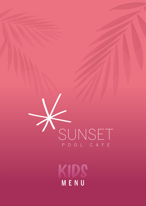

MENU